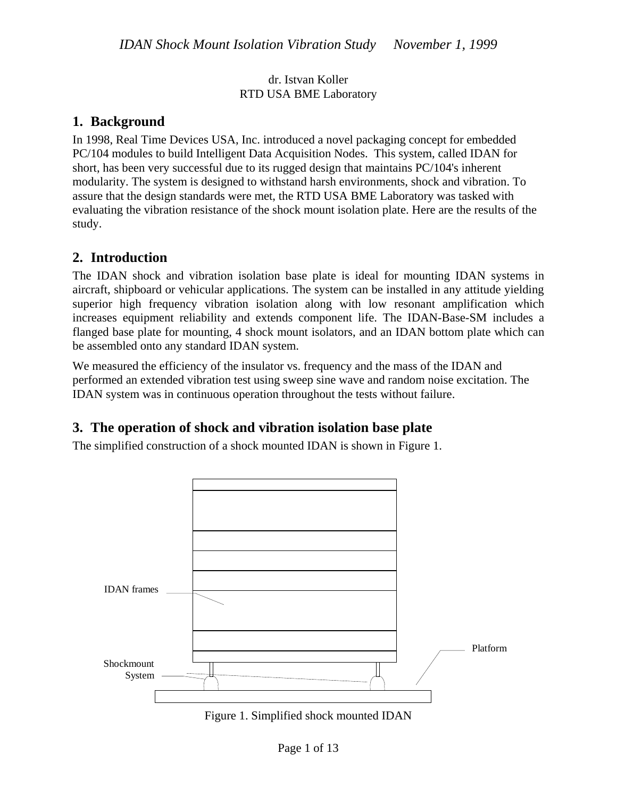dr. Istvan Koller RTD USA BME Laboratory

#### **1. Background**

In 1998, Real Time Devices USA, Inc. introduced a novel packaging concept for embedded PC/104 modules to build Intelligent Data Acquisition Nodes. This system, called IDAN for short, has been very successful due to its rugged design that maintains PC/104's inherent modularity. The system is designed to withstand harsh environments, shock and vibration. To assure that the design standards were met, the RTD USA BME Laboratory was tasked with evaluating the vibration resistance of the shock mount isolation plate. Here are the results of the study.

#### **2. Introduction**

The IDAN shock and vibration isolation base plate is ideal for mounting IDAN systems in aircraft, shipboard or vehicular applications. The system can be installed in any attitude yielding superior high frequency vibration isolation along with low resonant amplification which increases equipment reliability and extends component life. The IDAN-Base-SM includes a flanged base plate for mounting, 4 shock mount isolators, and an IDAN bottom plate which can be assembled onto any standard IDAN system.

We measured the efficiency of the insulator vs. frequency and the mass of the IDAN and performed an extended vibration test using sweep sine wave and random noise excitation. The IDAN system was in continuous operation throughout the tests without failure.

# **3. The operation of shock and vibration isolation base plate**

The simplified construction of a shock mounted IDAN is shown in Figure 1.



Figure 1. Simplified shock mounted IDAN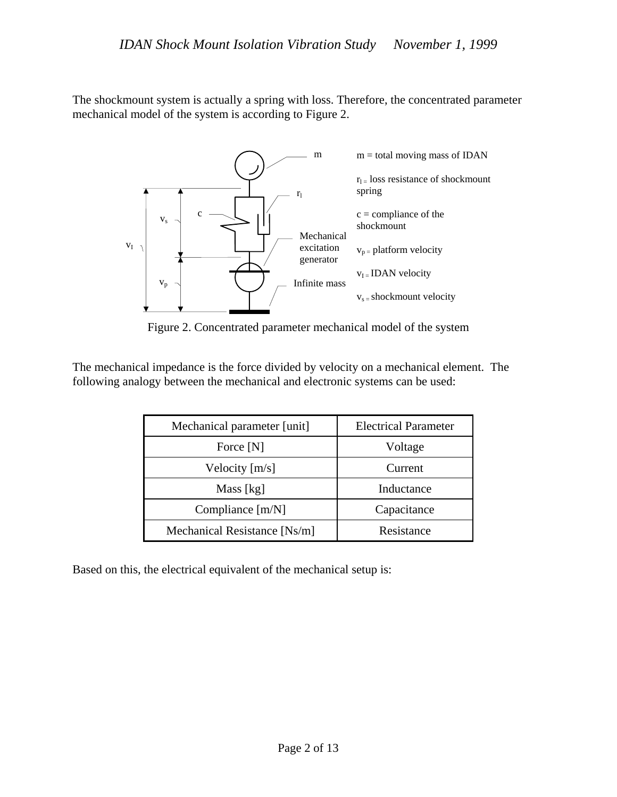The shockmount system is actually a spring with loss. Therefore, the concentrated parameter mechanical model of the system is according to Figure 2.



Figure 2. Concentrated parameter mechanical model of the system

The mechanical impedance is the force divided by velocity on a mechanical element. The following analogy between the mechanical and electronic systems can be used:

| Mechanical parameter [unit]  | <b>Electrical Parameter</b> |
|------------------------------|-----------------------------|
| Force [N]                    | Voltage                     |
| Velocity $[m/s]$             | Current                     |
| Mass [kg]                    | Inductance                  |
| Compliance $[m/N]$           | Capacitance                 |
| Mechanical Resistance [Ns/m] | Resistance                  |

Based on this, the electrical equivalent of the mechanical setup is: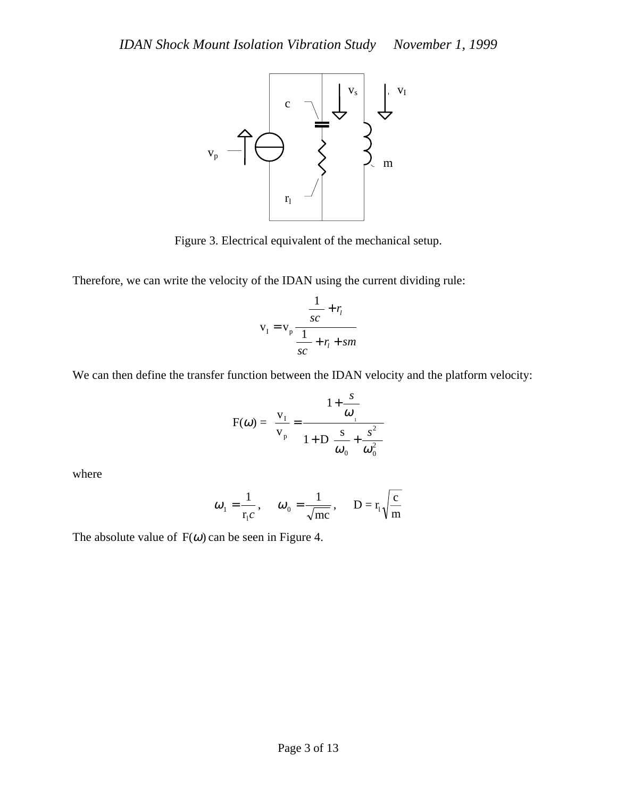

Figure 3. Electrical equivalent of the mechanical setup.

Therefore, we can write the velocity of the IDAN using the current dividing rule:

$$
v_{I} = v_{p} \frac{\frac{1}{sc} + r_{i}}{\frac{1}{sc} + r_{i} + sm}
$$

We can then define the transfer function between the IDAN velocity and the platform velocity:

$$
F(\omega) = \frac{v_1}{v_p} = \frac{1 + \frac{s}{\omega_1}}{1 + D \frac{s}{\omega_0} + \frac{s^2}{\omega_0^2}}
$$

where

$$
\omega_1 = \frac{1}{r_1 c}
$$
,  $\omega_0 = \frac{1}{\sqrt{mc}}$ ,  $D = r_1 \sqrt{\frac{c}{m}}$ 

The absolute value of  $F(\omega)$  can be seen in Figure 4.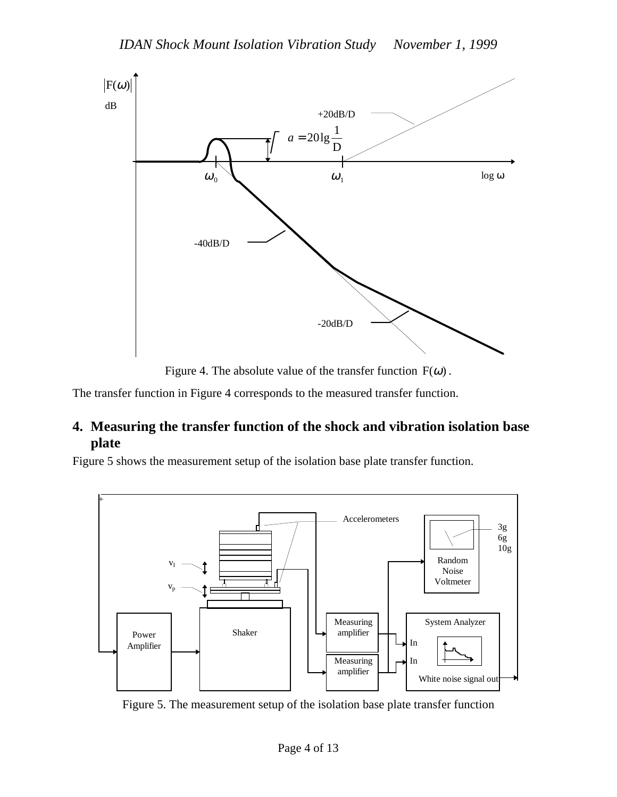

Figure 4. The absolute value of the transfer function  $F(\omega)$ .

The transfer function in Figure 4 corresponds to the measured transfer function.

### **4. Measuring the transfer function of the shock and vibration isolation base plate**

Figure 5 shows the measurement setup of the isolation base plate transfer function.



Figure 5. The measurement setup of the isolation base plate transfer function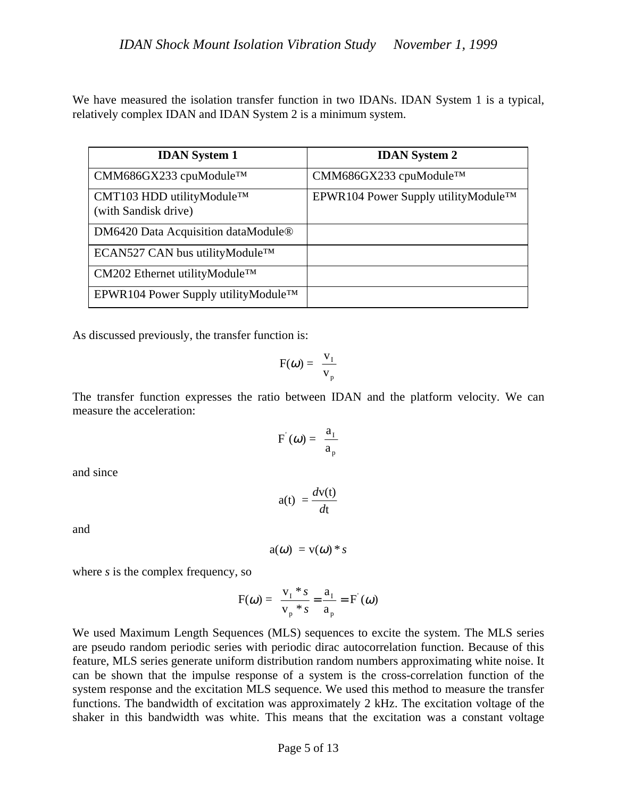We have measured the isolation transfer function in two IDANs. IDAN System 1 is a typical, relatively complex IDAN and IDAN System 2 is a minimum system.

| <b>IDAN</b> System 1                                           | <b>IDAN</b> System 2                  |
|----------------------------------------------------------------|---------------------------------------|
| $CMM686GX233$ cpuModule <sup>TM</sup>                          | $CMM686GX233$ cpuModule <sup>TM</sup> |
| CMT103 HDD utilityModule <sup>TM</sup><br>(with Sandisk drive) | EPWR104 Power Supply utilityModule™   |
| DM6420 Data Acquisition dataModule <sup>®</sup>                |                                       |
| ECAN527 CAN bus utilityModule™                                 |                                       |
| $CM202$ Ethernet utility Module <sup>TM</sup>                  |                                       |
| EPWR104 Power Supply utility Module <sup>TM</sup>              |                                       |

As discussed previously, the transfer function is:

$$
F(\omega) = \frac{v_1}{v_p}
$$

The transfer function expresses the ratio between IDAN and the platform velocity. We can measure the acceleration:

$$
F'(\omega) = \frac{a_1}{a_p}
$$

and since

$$
a(t) = \frac{dv(t)}{dt}
$$

and

$$
a(\omega) = v(\omega) * s
$$

where *s* is the complex frequency, so

$$
F(\omega) = \frac{v_1 * s}{v_p * s} = \frac{a_1}{a_p} = F(\omega)
$$

We used Maximum Length Sequences (MLS) sequences to excite the system. The MLS series are pseudo random periodic series with periodic dirac autocorrelation function. Because of this feature, MLS series generate uniform distribution random numbers approximating white noise. It can be shown that the impulse response of a system is the cross-correlation function of the system response and the excitation MLS sequence. We used this method to measure the transfer functions. The bandwidth of excitation was approximately 2 kHz. The excitation voltage of the shaker in this bandwidth was white. This means that the excitation was a constant voltage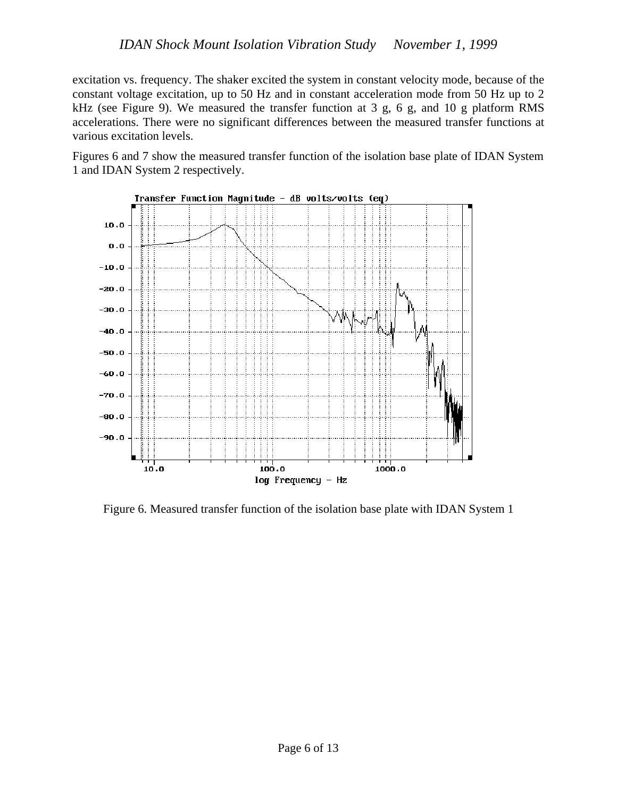excitation vs. frequency. The shaker excited the system in constant velocity mode, because of the constant voltage excitation, up to 50 Hz and in constant acceleration mode from 50 Hz up to 2 kHz (see Figure 9). We measured the transfer function at 3 g, 6 g, and 10 g platform RMS accelerations. There were no significant differences between the measured transfer functions at various excitation levels.

Figures 6 and 7 show the measured transfer function of the isolation base plate of IDAN System 1 and IDAN System 2 respectively.



Figure 6. Measured transfer function of the isolation base plate with IDAN System 1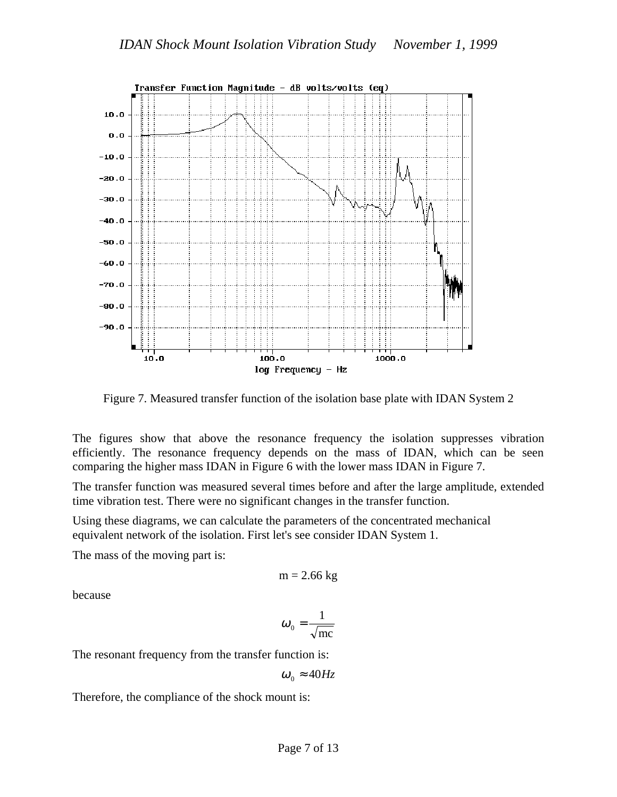

Figure 7. Measured transfer function of the isolation base plate with IDAN System 2

The figures show that above the resonance frequency the isolation suppresses vibration efficiently. The resonance frequency depends on the mass of IDAN, which can be seen comparing the higher mass IDAN in Figure 6 with the lower mass IDAN in Figure 7.

The transfer function was measured several times before and after the large amplitude, extended time vibration test. There were no significant changes in the transfer function.

Using these diagrams, we can calculate the parameters of the concentrated mechanical equivalent network of the isolation. First let's see consider IDAN System 1.

The mass of the moving part is:

$$
m = 2.66 \text{ kg}
$$

because

$$
\omega_{0} = \frac{1}{\sqrt{\text{mc}}}
$$

The resonant frequency from the transfer function is:

$$
\omega_{0}\approx 40 Hz
$$

Therefore, the compliance of the shock mount is: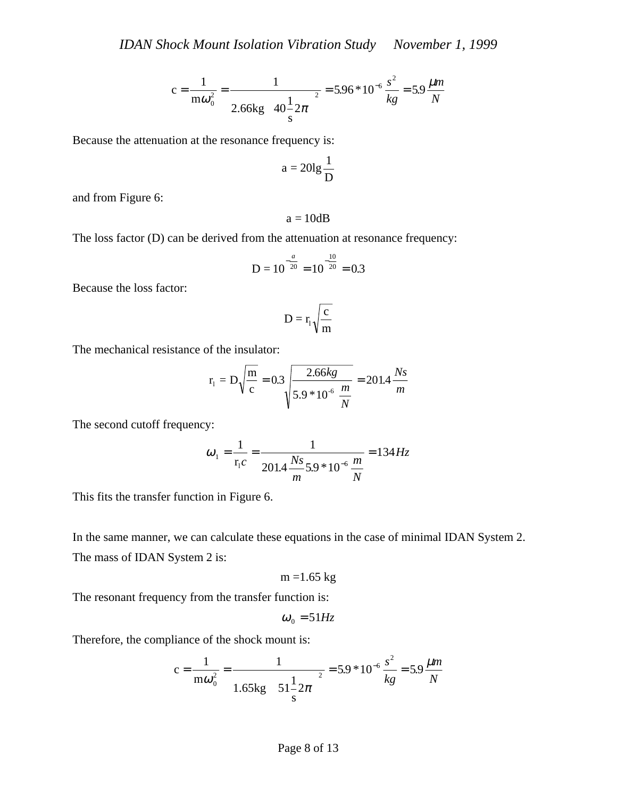$$
c = \frac{1}{m\omega_0^2} = \frac{1}{2.66 \text{kg} \left(40\frac{1}{s}2\pi\right)^2} = 5.96 * 10^{-6} \frac{s^2}{kg} = 5.9 \frac{\mu m}{N}
$$

Because the attenuation at the resonance frequency is:

$$
a=20lg\frac{1}{D}
$$

and from Figure 6:

 $a = 10dB$ 

The loss factor (D) can be derived from the attenuation at resonance frequency:

$$
D = 10^{-\frac{a}{20}} = 10^{-\frac{10}{20}} = 0.3
$$

Because the loss factor:

$$
\mathbf{D} = r_{\!\scriptscriptstyle 1} \sqrt{\frac{c}{m}}
$$

The mechanical resistance of the insulator:

$$
r_1 = D\sqrt{\frac{m}{c}} = 0.3\sqrt{\frac{2.66kg}{5.9 * 10^{-6} \frac{m}{N}}} = 201.4 \frac{Ns}{m}
$$

The second cutoff frequency:

$$
\omega_1 = \frac{1}{r_1 c} = \frac{1}{201.4 \frac{Ns}{m} 5.9 * 10^{-6} \frac{m}{N}} = 134 Hz
$$

This fits the transfer function in Figure 6.

In the same manner, we can calculate these equations in the case of minimal IDAN System 2. The mass of IDAN System 2 is:

$$
m = 1.65 \text{ kg}
$$

The resonant frequency from the transfer function is:

$$
\omega_{0} = 51 Hz
$$

Therefore, the compliance of the shock mount is:

$$
c = \frac{1}{m\omega_0^2} = \frac{1}{1.65 \text{kg} \left(51\frac{1}{s}2\pi\right)^2} = 5.9 * 10^{-6} \frac{s^2}{kg} = 5.9 \frac{\mu m}{N}
$$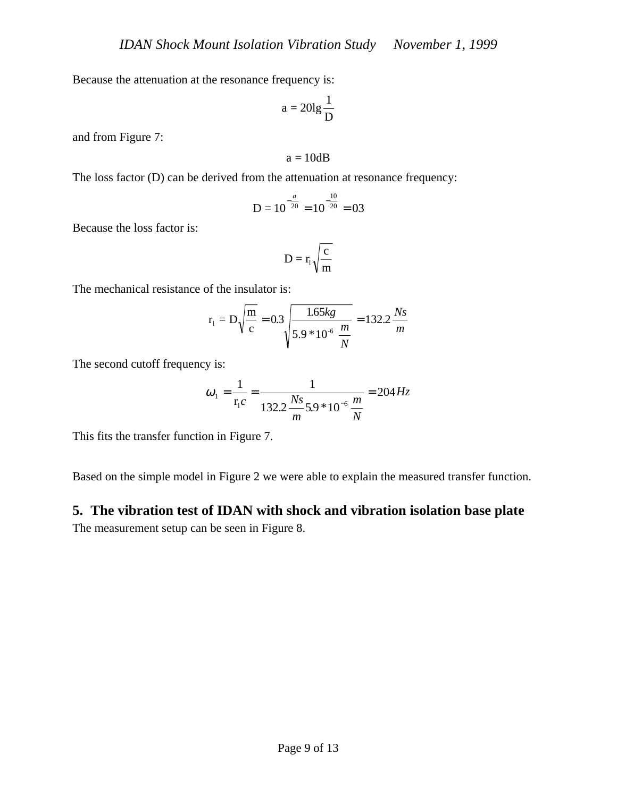Because the attenuation at the resonance frequency is:

$$
a=20lg\frac{1}{D}
$$

and from Figure 7:

$$
a=10dB
$$

The loss factor (D) can be derived from the attenuation at resonance frequency:

$$
D = 10^{-\frac{a}{20}} = 10^{-\frac{10}{20}} = 03
$$

Because the loss factor is:

$$
D=r_{\scriptscriptstyle l}\sqrt{\frac{c}{m}}
$$

The mechanical resistance of the insulator is:

$$
r_1 = D\sqrt{\frac{m}{c}} = 0.3 \sqrt{\frac{1.65kg}{5.9 * 10^{-6} \frac{m}{N}}} = 132.2 \frac{Ns}{m}
$$

The second cutoff frequency is:

$$
\omega_1 = \frac{1}{r_1 c} = \frac{1}{132.2 \frac{Ns}{m} 5.9 * 10^{-6} \frac{m}{N}} = 204 Hz
$$

This fits the transfer function in Figure 7.

Based on the simple model in Figure 2 we were able to explain the measured transfer function.

## **5. The vibration test of IDAN with shock and vibration isolation base plate** The measurement setup can be seen in Figure 8.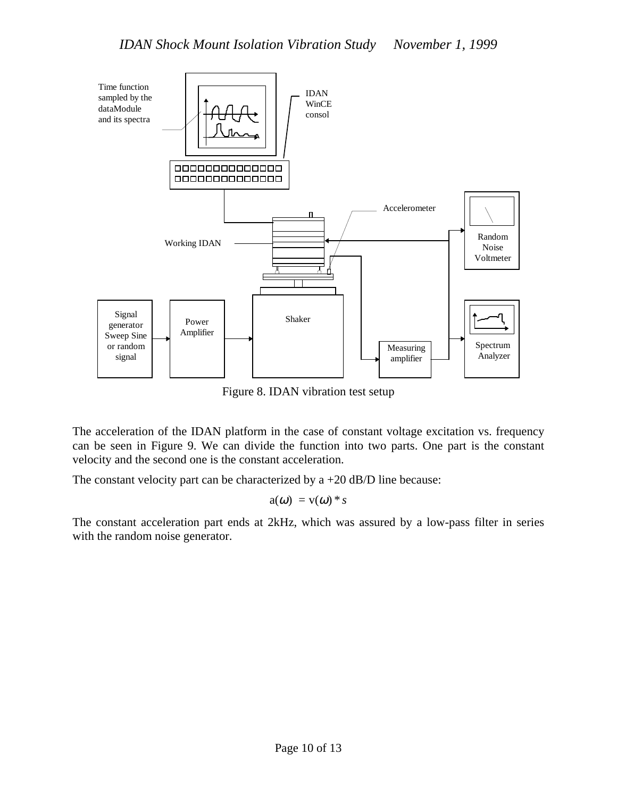

Figure 8. IDAN vibration test setup

The acceleration of the IDAN platform in the case of constant voltage excitation vs. frequency can be seen in Figure 9. We can divide the function into two parts. One part is the constant velocity and the second one is the constant acceleration.

The constant velocity part can be characterized by  $a + 20$  dB/D line because:

 $a(\omega) = v(\omega)^* s$ 

The constant acceleration part ends at 2kHz, which was assured by a low-pass filter in series with the random noise generator.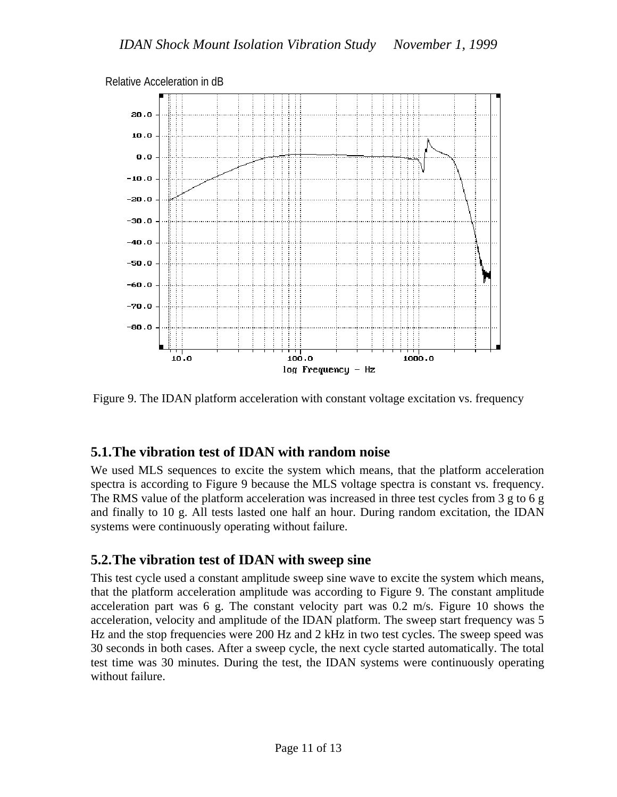

Relative Acceleration in dB

Figure 9. The IDAN platform acceleration with constant voltage excitation vs. frequency

#### **5.1.The vibration test of IDAN with random noise**

We used MLS sequences to excite the system which means, that the platform acceleration spectra is according to Figure 9 because the MLS voltage spectra is constant vs. frequency. The RMS value of the platform acceleration was increased in three test cycles from 3 g to 6 g and finally to 10 g. All tests lasted one half an hour. During random excitation, the IDAN systems were continuously operating without failure.

### **5.2.The vibration test of IDAN with sweep sine**

This test cycle used a constant amplitude sweep sine wave to excite the system which means, that the platform acceleration amplitude was according to Figure 9. The constant amplitude acceleration part was 6 g. The constant velocity part was 0.2 m/s. Figure 10 shows the acceleration, velocity and amplitude of the IDAN platform. The sweep start frequency was 5 Hz and the stop frequencies were 200 Hz and 2 kHz in two test cycles. The sweep speed was 30 seconds in both cases. After a sweep cycle, the next cycle started automatically. The total test time was 30 minutes. During the test, the IDAN systems were continuously operating without failure.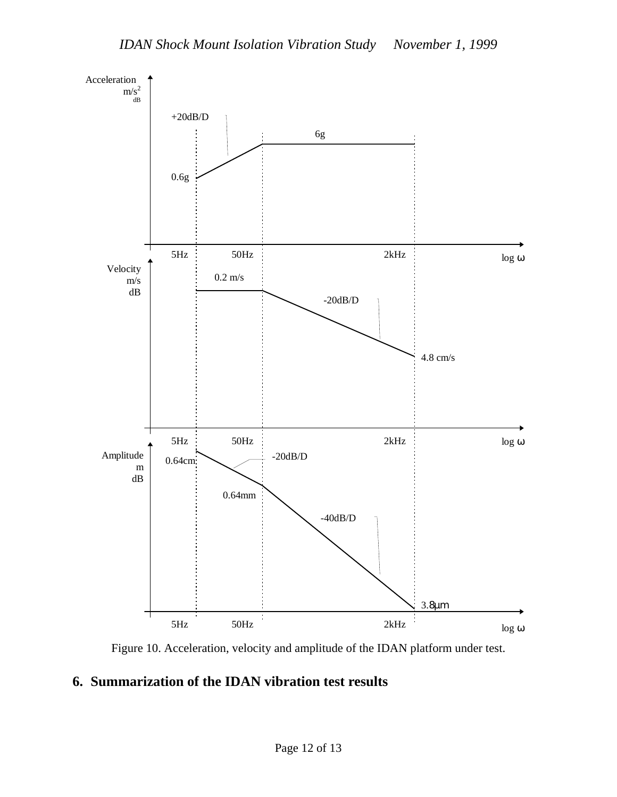

Figure 10. Acceleration, velocity and amplitude of the IDAN platform under test.

## **6. Summarization of the IDAN vibration test results**